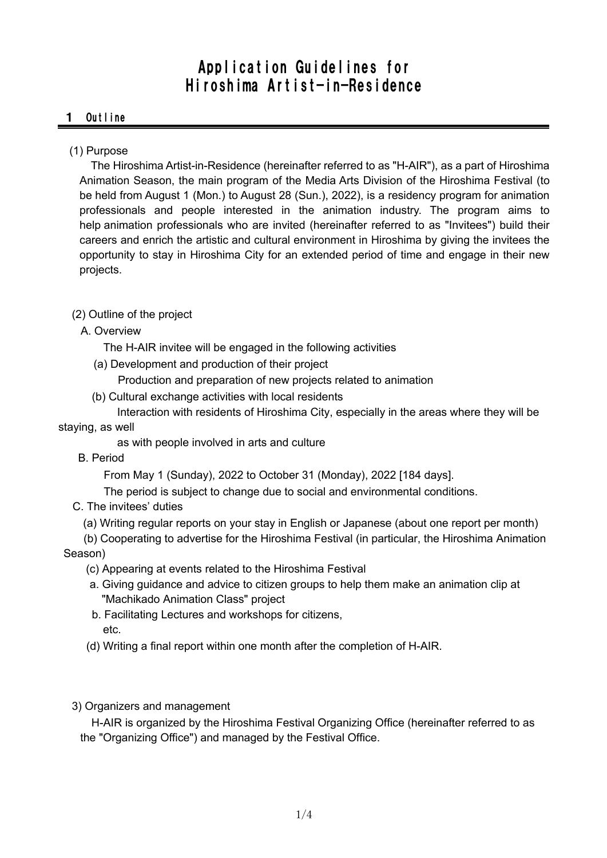# Application Guidelines for Hiroshima Artist-in-Residence

## 1 Outline

## (1) Purpose

The Hiroshima Artist-in-Residence (hereinafter referred to as "H-AIR"), as a part of Hiroshima Animation Season, the main program of the Media Arts Division of the Hiroshima Festival (to be held from August 1 (Mon.) to August 28 (Sun.), 2022), is a residency program for animation professionals and people interested in the animation industry. The program aims to help animation professionals who are invited (hereinafter referred to as "Invitees") build their careers and enrich the artistic and cultural environment in Hiroshima by giving the invitees the opportunity to stay in Hiroshima City for an extended period of time and engage in their new projects.

## (2) Outline of the project

A. Overview

The H-AIR invitee will be engaged in the following activities

(a) Development and production of their project

Production and preparation of new projects related to animation

(b) Cultural exchange activities with local residents

Interaction with residents of Hiroshima City, especially in the areas where they will be staying, as well

as with people involved in arts and culture

B. Period

From May 1 (Sunday), 2022 to October 31 (Monday), 2022 [184 days].

The period is subject to change due to social and environmental conditions.

- C. The invitees' duties
	- (a) Writing regular reports on your stay in English or Japanese (about one report per month)

(b) Cooperating to advertise for the Hiroshima Festival (in particular, the Hiroshima Animation Season)

- (c) Appearing at events related to the Hiroshima Festival
- a. Giving guidance and advice to citizen groups to help them make an animation clip at "Machikado Animation Class" project
- b. Facilitating Lectures and workshops for citizens, etc.
- (d) Writing a final report within one month after the completion of H-AIR.
- 3) Organizers and management

H-AIR is organized by the Hiroshima Festival Organizing Office (hereinafter referred to as the "Organizing Office") and managed by the Festival Office.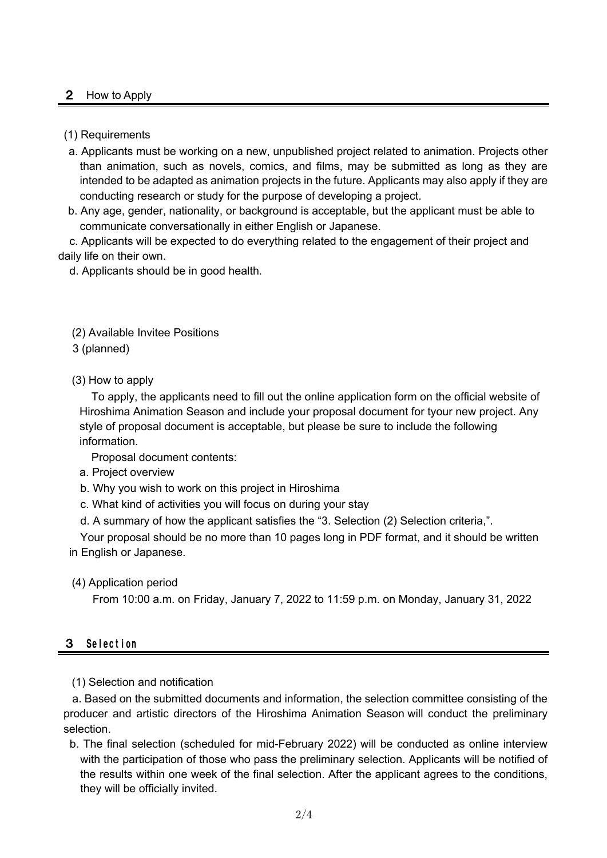## 2 How to Apply

#### (1) Requirements

- a. Applicants must be working on a new, unpublished project related to animation. Projects other than animation, such as novels, comics, and films, may be submitted as long as they are intended to be adapted as animation projects in the future. Applicants may also apply if they are conducting research or study for the purpose of developing a project.
- b. Any age, gender, nationality, or background is acceptable, but the applicant must be able to communicate conversationally in either English or Japanese.

c. Applicants will be expected to do everything related to the engagement of their project and daily life on their own.

d. Applicants should be in good health.

#### (2) Available Invitee Positions

3 (planned)

(3) How to apply

To apply, the applicants need to fill out the online application form on the official website of Hiroshima Animation Season and include your proposal document for tyour new project. Any style of proposal document is acceptable, but please be sure to include the following information.

Proposal document contents:

- a. Project overview
- b. Why you wish to work on this project in Hiroshima
- c. What kind of activities you will focus on during your stay
- d. A summary of how the applicant satisfies the "3. Selection (2) Selection criteria,".

Your proposal should be no more than 10 pages long in PDF format, and it should be written in English or Japanese.

(4) Application period

From 10:00 a.m. on Friday, January 7, 2022 to 11:59 p.m. on Monday, January 31, 2022

## 3 Selection

(1) Selection and notification

a. Based on the submitted documents and information, the selection committee consisting of the producer and artistic directors of the Hiroshima Animation Season will conduct the preliminary selection.

b. The final selection (scheduled for mid-February 2022) will be conducted as online interview with the participation of those who pass the preliminary selection. Applicants will be notified of the results within one week of the final selection. After the applicant agrees to the conditions, they will be officially invited.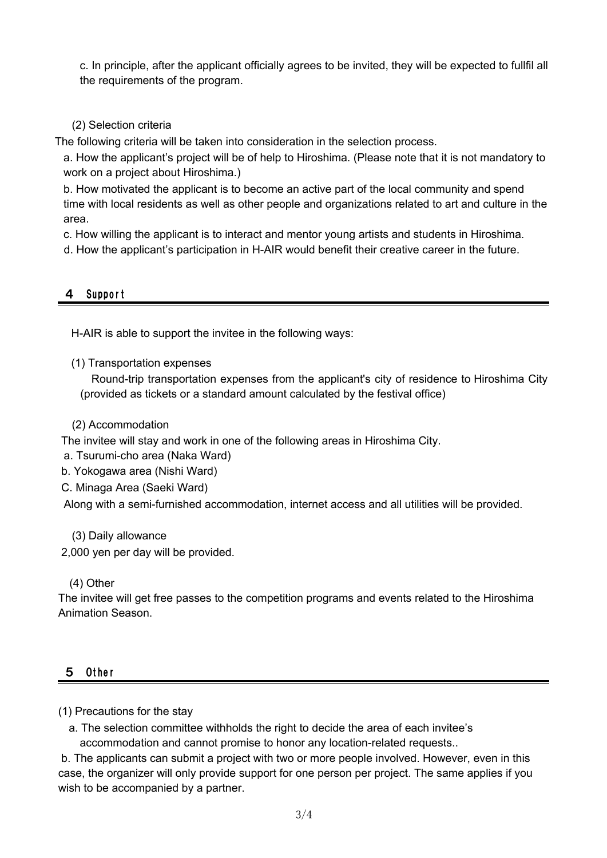c. In principle, after the applicant officially agrees to be invited, they will be expected to fullfil all the requirements of the program.

## (2) Selection criteria

The following criteria will be taken into consideration in the selection process.

a. How the applicant's project will be of help to Hiroshima. (Please note that it is not mandatory to work on a project about Hiroshima.)

b. How motivated the applicant is to become an active part of the local community and spend time with local residents as well as other people and organizations related to art and culture in the area.

c. How willing the applicant is to interact and mentor young artists and students in Hiroshima.

d. How the applicant's participation in H-AIR would benefit their creative career in the future.

## 4 Support

H-AIR is able to support the invitee in the following ways:

(1) Transportation expenses

Round-trip transportation expenses from the applicant's city of residence to Hiroshima City (provided as tickets or a standard amount calculated by the festival office)

(2) Accommodation

The invitee will stay and work in one of the following areas in Hiroshima City.

a. Tsurumi-cho area (Naka Ward)

b. Yokogawa area (Nishi Ward)

C. Minaga Area (Saeki Ward)

Along with a semi-furnished accommodation, internet access and all utilities will be provided.

(3) Daily allowance

2,000 yen per day will be provided.

## (4) Other

The invitee will get free passes to the competition programs and events related to the Hiroshima Animation Season.

## 5 Other

## (1) Precautions for the stay

a. The selection committee withholds the right to decide the area of each invitee's accommodation and cannot promise to honor any location-related requests..

b. The applicants can submit a project with two or more people involved. However, even in this case, the organizer will only provide support for one person per project. The same applies if you wish to be accompanied by a partner.